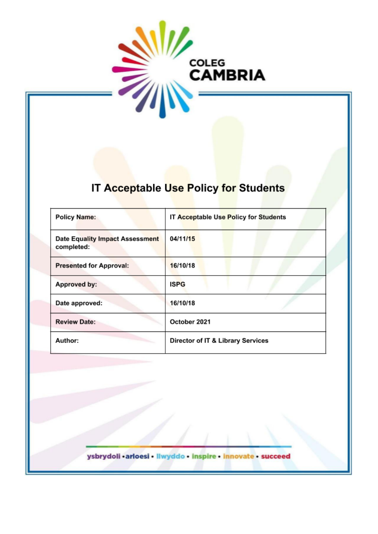

# IT Acceptable Use Policy for Students

| <b>Policy Name:</b>                                  | IT Acceptable Use Policy for Students |
|------------------------------------------------------|---------------------------------------|
| <b>Date Equality Impact Assessment</b><br>completed: | 04/11/15                              |
| <b>Presented for Approval:</b>                       | 16/10/18                              |
| Approved by:                                         | <b>ISPG</b>                           |
| Date approved:                                       | 16/10/18                              |
| <b>Review Date:</b>                                  | October 2021                          |
| Author:                                              | Director of IT & Library Services     |

ysbrydoli .arloesi . Ilwyddo . inspire . innovate . succeed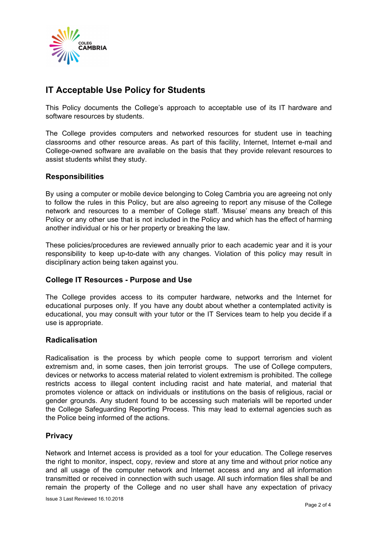

# **IT Acceptable Use Policy for Students**

This Policy documents the College's approach to acceptable use of its IT hardware and software resources by students.

The College provides computers and networked resources for student use in teaching classrooms and other resource areas. As part of this facility, Internet, Internet e-mail and College-owned software are available on the basis that they provide relevant resources to assist students whilst they study.

#### **Responsibilities**

By using a computer or mobile device belonging to Coleg Cambria you are agreeing not only to follow the rules in this Policy, but are also agreeing to report any misuse of the College network and resources to a member of College staff. 'Misuse' means any breach of this Policy or any other use that is not included in the Policy and which has the effect of harming another individual or his or her property or breaking the law.

These policies/procedures are reviewed annually prior to each academic year and it is your responsibility to keep up-to-date with any changes. Violation of this policy may result in disciplinary action being taken against you.

## **College IT Resources - Purpose and Use**

The College provides access to its computer hardware, networks and the Internet for educational purposes only. If you have any doubt about whether a contemplated activity is educational, you may consult with your tutor or the IT Services team to help you decide if a use is appropriate.

#### **Radicalisation**

Radicalisation is the process by which people come to support terrorism and violent extremism and, in some cases, then join terrorist groups. The use of College computers, devices or networks to access material related to violent extremism is prohibited. The college restricts access to illegal content including racist and hate material, and material that promotes violence or attack on individuals or institutions on the basis of religious, racial or gender grounds. Any student found to be accessing such materials will be reported under the College Safeguarding Reporting Process. This may lead to external agencies such as the Police being informed of the actions.

## **Privacy**

Network and Internet access is provided as a tool for your education. The College reserves the right to monitor, inspect, copy, review and store at any time and without prior notice any and all usage of the computer network and Internet access and any and all information transmitted or received in connection with such usage. All such information files shall be and remain the property of the College and no user shall have any expectation of privacy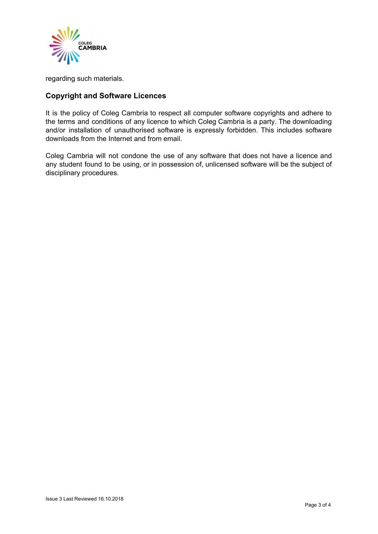

regarding such materials.

# **Copyright and Software Licences**

It is the policy of Coleg Cambria to respect all computer software copyrights and adhere to the terms and conditions of any licence to which Coleg Cambria is a party. The downloading and/or installation of unauthorised software is expressly forbidden. This includes software downloads from the Internet and from email.

Coleg Cambria will not condone the use of any software that does not have a licence and any student found to be using, or in possession of, unlicensed software will be the subject of disciplinary procedures.